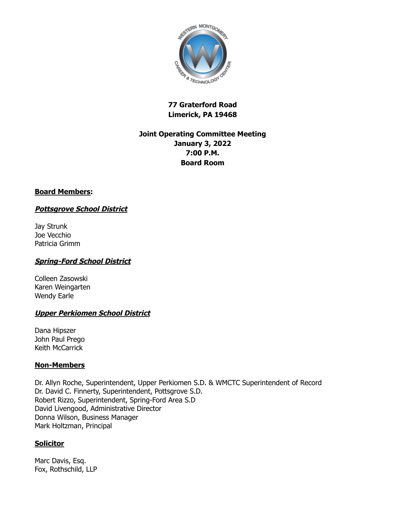

# **77 Graterford Road Limerick, PA 19468**

# **Joint Operating Committee Meeting January 3, 2022 7:00 P.M. Board Room**

## **Board Members:**

# **Pottsgrove School District**

Jay Strunk Joe Vecchio Patricia Grimm

# **Spring-Ford School District**

Colleen Zasowski Karen Weingarten Wendy Earle

## **Upper Perkiomen School District**

Dana Hipszer John Paul Prego Keith McCarrick

## **Non-Members**

Dr. Allyn Roche, Superintendent, Upper Perkiomen S.D. & WMCTC Superintendent of Record Dr. David C. Finnerty, Superintendent, Pottsgrove S.D. Robert Rizzo, Superintendent, Spring-Ford Area S.D David Livengood, Administrative Director Donna Wilson, Business Manager Mark Holtzman, Principal

# **Solicitor**

Marc Davis, Esq. Fox, Rothschild, LLP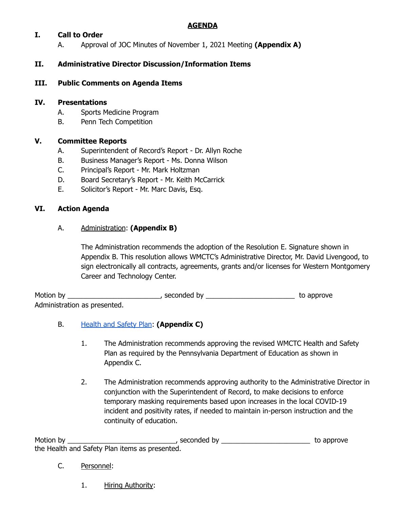# **AGENDA**

## **I. Call to Order**

A. Approval of JOC Minutes of November 1, 2021 Meeting **(Appendix A)**

# **II. Administrative Director Discussion/Information Items**

### **III. Public Comments on Agenda Items**

### **IV. Presentations**

- A. Sports Medicine Program
- B. Penn Tech Competition

### **V. Committee Reports**

- A. Superintendent of Record's Report Dr. Allyn Roche
- B. Business Manager's Report Ms. Donna Wilson
- C. Principal's Report Mr. Mark Holtzman
- D. Board Secretary's Report Mr. Keith McCarrick
- E. Solicitor's Report Mr. Marc Davis, Esq.

### **VI. Action Agenda**

### A. Administration: **(Appendix B)**

The Administration recommends the adoption of the Resolution E. Signature shown in Appendix B. This resolution allows WMCTC's Administrative Director, Mr. David Livengood, to sign electronically all contracts, agreements, grants and/or licenses for Western Montgomery Career and Technology Center.

Motion by \_\_\_\_\_\_\_\_\_\_\_\_\_\_\_\_\_\_\_\_\_\_\_\_, seconded by \_\_\_\_\_\_\_\_\_\_\_\_\_\_\_\_\_\_\_\_\_\_\_ to approve Administration as presented.

#### B. [Health](https://drive.google.com/file/d/1pFjuMzRL-gZQhOkVm-dvDXJ6-A8U7_hT/view?usp=sharing) and Safety Plan: **(Appendix C)**

- 1. The Administration recommends approving the revised WMCTC Health and Safety Plan as required by the Pennsylvania Department of Education as shown in Appendix C.
- 2. The Administration recommends approving authority to the Administrative Director in conjunction with the Superintendent of Record, to make decisions to enforce temporary masking requirements based upon increases in the local COVID-19 incident and positivity rates, if needed to maintain in-person instruction and the continuity of education.

Motion by \_\_\_\_\_\_\_\_\_\_\_\_\_\_\_\_\_\_\_\_\_\_\_\_\_\_\_\_, seconded by \_\_\_\_\_\_\_\_\_\_\_\_\_\_\_\_\_\_\_\_\_\_\_ to approve the Health and Safety Plan items as presented.

- C. Personnel:
	- 1. Hiring Authority: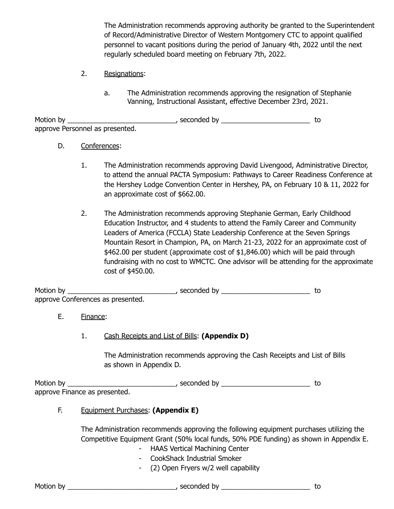The Administration recommends approving authority be granted to the Superintendent of Record/Administrative Director of Western Montgomery CTC to appoint qualified personnel to vacant positions during the period of January 4th, 2022 until the next regularly scheduled board meeting on February 7th, 2022.

- 2. Resignations:
	- a. The Administration recommends approving the resignation of Stephanie Vanning, Instructional Assistant, effective December 23rd, 2021.

Motion by \_\_\_\_\_\_\_\_\_\_\_\_\_\_\_\_\_\_\_\_\_\_\_\_\_\_\_\_\_\_\_\_, seconded by \_\_\_\_\_\_\_\_\_\_\_\_\_\_\_\_\_\_\_\_\_\_\_\_\_\_\_\_ to approve Personnel as presented.

#### D. Conferences:

- 1. The Administration recommends approving David Livengood, Administrative Director, to attend the annual PACTA Symposium: Pathways to Career Readiness Conference at the Hershey Lodge Convention Center in Hershey, PA, on February 10 & 11, 2022 for an approximate cost of \$662.00.
- 2. The Administration recommends approving Stephanie German, Early Childhood Education Instructor, and 4 students to attend the Family Career and Community Leaders of America (FCCLA) State Leadership Conference at the Seven Springs Mountain Resort in Champion, PA, on March 21-23, 2022 for an approximate cost of \$462.00 per student (approximate cost of \$1,846.00) which will be paid through fundraising with no cost to WMCTC. One advisor will be attending for the approximate cost of \$450.00.

| Motion by                         | , seconded by |  |
|-----------------------------------|---------------|--|
| approve Conferences as presented. |               |  |

#### E. Finance:

1. Cash Receipts and List of Bills: **(Appendix D)**

The Administration recommends approving the Cash Receipts and List of Bills as shown in Appendix D.

Motion by \_\_\_\_\_\_\_\_\_\_\_\_\_\_\_\_\_\_\_\_\_\_\_\_\_\_\_\_\_\_\_\_, seconded by \_\_\_\_\_\_\_\_\_\_\_\_\_\_\_\_\_\_\_\_\_\_\_\_\_\_ to approve Finance as presented.

### F. Equipment Purchases: **(Appendix E)**

The Administration recommends approving the following equipment purchases utilizing the Competitive Equipment Grant (50% local funds, 50% PDE funding) as shown in Appendix E.

- HAAS Vertical Machining Center
- CookShack Industrial Smoker
- (2) Open Fryers w/2 well capability

Motion by \_\_\_\_\_\_\_\_\_\_\_\_\_\_\_\_\_\_\_\_\_\_\_\_\_\_\_\_\_\_\_\_, seconded by \_\_\_\_\_\_\_\_\_\_\_\_\_\_\_\_\_\_\_\_\_\_\_\_\_\_ to